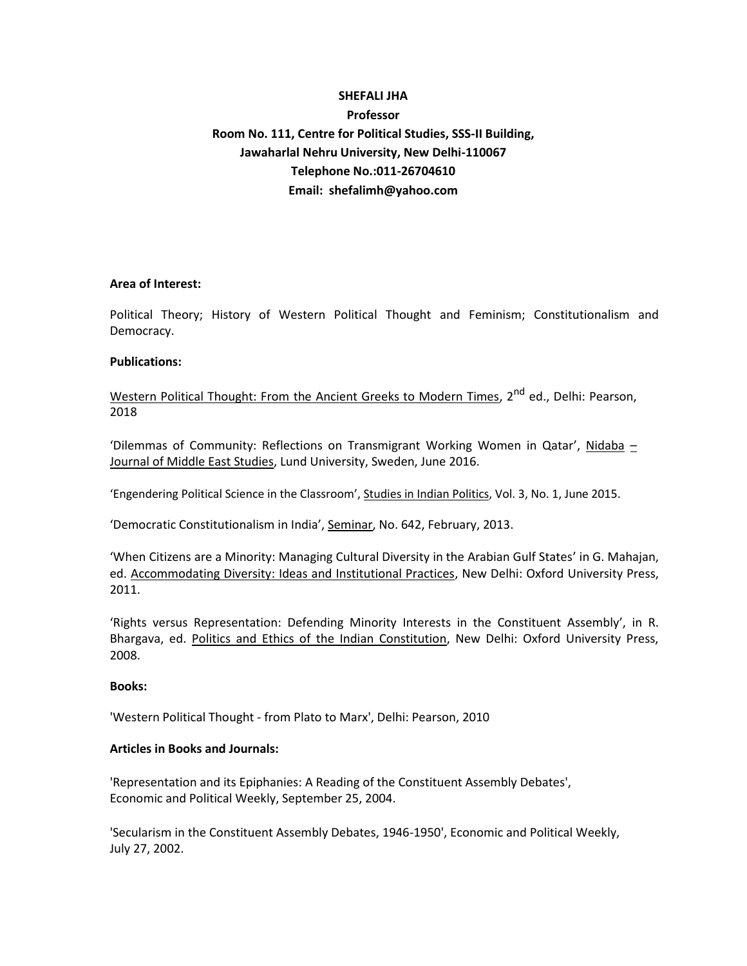# **SHEFALI JHA Professor Room No. 111, Centre for Political Studies, SSS-II Building, Jawaharlal Nehru University, New Delhi-110067 Telephone No.:011-26704610 Email: shefalimh@yahoo.com**

## **Area of Interest:**

Political Theory; History of Western Political Thought and Feminism; Constitutionalism and Democracy.

## **Publications:**

Western Political Thought: From the Ancient Greeks to Modern Times, 2<sup>nd</sup> ed., Delhi: Pearson, 2018

'Dilemmas of Community: Reflections on Transmigrant Working Women in Qatar', Nidaba  $-$ Journal of Middle East Studies, Lund University, Sweden, June 2016.

'Engendering Political Science in the Classroom', Studies in Indian Politics, Vol. 3, No. 1, June 2015.

'Democratic Constitutionalism in India', Seminar, No. 642, February, 2013.

'When Citizens are a Minority: Managing Cultural Diversity in the Arabian Gulf States' in G. Mahajan, ed. Accommodating Diversity: Ideas and Institutional Practices, New Delhi: Oxford University Press, 2011.

'Rights versus Representation: Defending Minority Interests in the Constituent Assembly', in R. Bhargava, ed. Politics and Ethics of the Indian Constitution, New Delhi: Oxford University Press, 2008.

#### **Books:**

'Western Political Thought - from Plato to Marx', Delhi: Pearson, 2010

#### **Articles in Books and Journals:**

'Representation and its Epiphanies: A Reading of the Constituent Assembly Debates', Economic and Political Weekly, September 25, 2004.

'Secularism in the Constituent Assembly Debates, 1946-1950', Economic and Political Weekly, July 27, 2002.